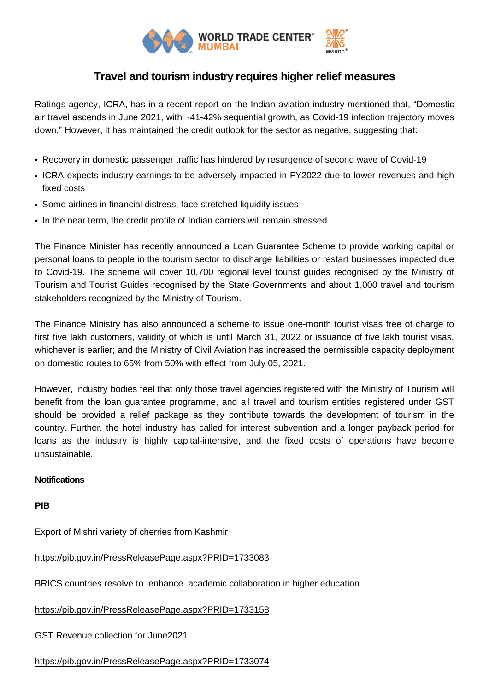

## **Travel and tourism industry requires higher relief measures**

Ratings agency, ICRA, has in a recent report on the Indian aviation industry mentioned that, "Domestic air travel ascends in June 2021, with ~41-42% sequential growth, as Covid-19 infection trajectory moves down." However, it has maintained the credit outlook for the sector as negative, suggesting that:

- Recovery in domestic passenger traffic has hindered by resurgence of second wave of Covid-19
- ICRA expects industry earnings to be adversely impacted in FY2022 due to lower revenues and high fixed costs
- Some airlines in financial distress, face stretched liquidity issues
- In the near term, the credit profile of Indian carriers will remain stressed

The Finance Minister has recently announced a Loan Guarantee Scheme to provide working capital or personal loans to people in the tourism sector to discharge liabilities or restart businesses impacted due to Covid-19. The scheme will cover 10,700 regional level tourist guides recognised by the Ministry of Tourism and Tourist Guides recognised by the State Governments and about 1,000 travel and tourism stakeholders recognized by the Ministry of Tourism.

The Finance Ministry has also announced a scheme to issue one-month tourist visas free of charge to first five lakh customers, validity of which is until March 31, 2022 or issuance of five lakh tourist visas, whichever is earlier; and the Ministry of Civil Aviation has increased the permissible capacity deployment on domestic routes to 65% from 50% with effect from July 05, 2021.

However, industry bodies feel that only those travel agencies registered with the Ministry of Tourism will benefit from the loan guarantee programme, and all travel and tourism entities registered under GST should be provided a relief package as they contribute towards the development of tourism in the country. Further, the hotel industry has called for interest subvention and a longer payback period for loans as the industry is highly capital-intensive, and the fixed costs of operations have become unsustainable.

## **Notifications**

**PIB**

Export of Mishri variety of cherries from Kashmir

## <https://pib.gov.in/PressReleasePage.aspx?PRID=1733083>

BRICS countries resolve to enhance academic collaboration in higher education

<https://pib.gov.in/PressReleasePage.aspx?PRID=1733158>

GST Revenue collection for June2021

## <https://pib.gov.in/PressReleasePage.aspx?PRID=1733074>